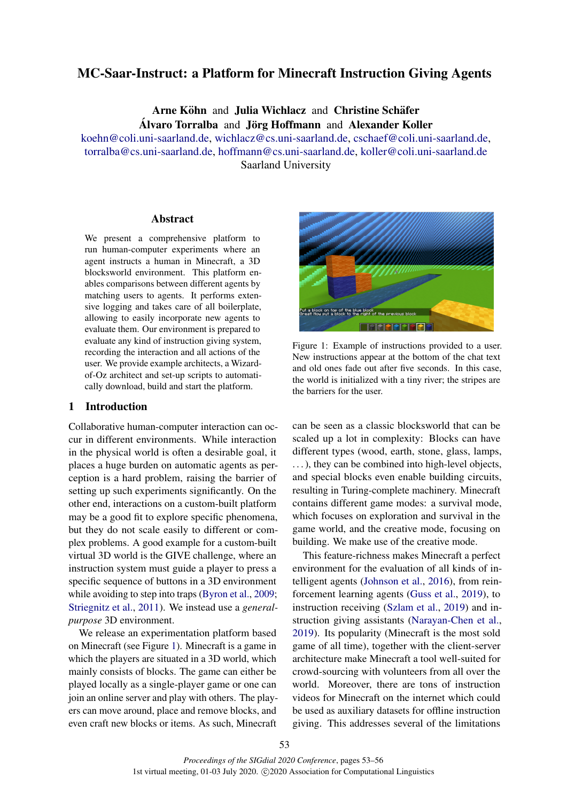# MC-Saar-Instruct: a Platform for Minecraft Instruction Giving Agents

Arne Köhn and Julia Wichlacz and Christine Schäfer Alvaro Torralba and Jörg Hoffmann and Alexander Koller

[koehn@coli.uni-saarland.de,](mailto:koehn@coli.uni-saarland.de) [wichlacz@cs.uni-saarland.de,](mailto:wichlacz@cs.uni-saarland.de) [cschaef@coli.uni-saarland.de,](mailto:cschaef@coli.uni-saarland.de) [torralba@cs.uni-saarland.de,](mailto:torralba@cs.uni-saarland.de) [hoffmann@cs.uni-saarland.de,](mailto:hoffmann@cs.uni-saarland.de) [koller@coli.uni-saarland.de](mailto:koller@coli.uni-saarland.de) Saarland University

# Abstract

We present a comprehensive platform to run human-computer experiments where an agent instructs a human in Minecraft, a 3D blocksworld environment. This platform enables comparisons between different agents by matching users to agents. It performs extensive logging and takes care of all boilerplate, allowing to easily incorporate new agents to evaluate them. Our environment is prepared to evaluate any kind of instruction giving system, recording the interaction and all actions of the user. We provide example architects, a Wizardof-Oz architect and set-up scripts to automatically download, build and start the platform.

#### 1 Introduction

Collaborative human-computer interaction can occur in different environments. While interaction in the physical world is often a desirable goal, it places a huge burden on automatic agents as perception is a hard problem, raising the barrier of setting up such experiments significantly. On the other end, interactions on a custom-built platform may be a good fit to explore specific phenomena, but they do not scale easily to different or complex problems. A good example for a custom-built virtual 3D world is the GIVE challenge, where an instruction system must guide a player to press a specific sequence of buttons in a 3D environment while avoiding to step into traps [\(Byron et al.,](#page-3-0) [2009;](#page-3-0) [Striegnitz et al.,](#page-3-1) [2011\)](#page-3-1). We instead use a *generalpurpose* 3D environment.

We release an experimentation platform based on Minecraft (see Figure [1\)](#page-0-0). Minecraft is a game in which the players are situated in a 3D world, which mainly consists of blocks. The game can either be played locally as a single-player game or one can join an online server and play with others. The players can move around, place and remove blocks, and even craft new blocks or items. As such, Minecraft

<span id="page-0-0"></span>

Figure 1: Example of instructions provided to a user. New instructions appear at the bottom of the chat text and old ones fade out after five seconds. In this case, the world is initialized with a tiny river; the stripes are the barriers for the user.

can be seen as a classic blocksworld that can be scaled up a lot in complexity: Blocks can have different types (wood, earth, stone, glass, lamps, ...), they can be combined into high-level objects, and special blocks even enable building circuits, resulting in Turing-complete machinery. Minecraft contains different game modes: a survival mode, which focuses on exploration and survival in the game world, and the creative mode, focusing on building. We make use of the creative mode.

This feature-richness makes Minecraft a perfect environment for the evaluation of all kinds of intelligent agents [\(Johnson et al.,](#page-3-2) [2016\)](#page-3-2), from reinforcement learning agents [\(Guss et al.,](#page-3-3) [2019\)](#page-3-3), to instruction receiving [\(Szlam et al.,](#page-3-4) [2019\)](#page-3-4) and instruction giving assistants [\(Narayan-Chen et al.,](#page-3-5) [2019\)](#page-3-5). Its popularity (Minecraft is the most sold game of all time), together with the client-server architecture make Minecraft a tool well-suited for crowd-sourcing with volunteers from all over the world. Moreover, there are tons of instruction videos for Minecraft on the internet which could be used as auxiliary datasets for offline instruction giving. This addresses several of the limitations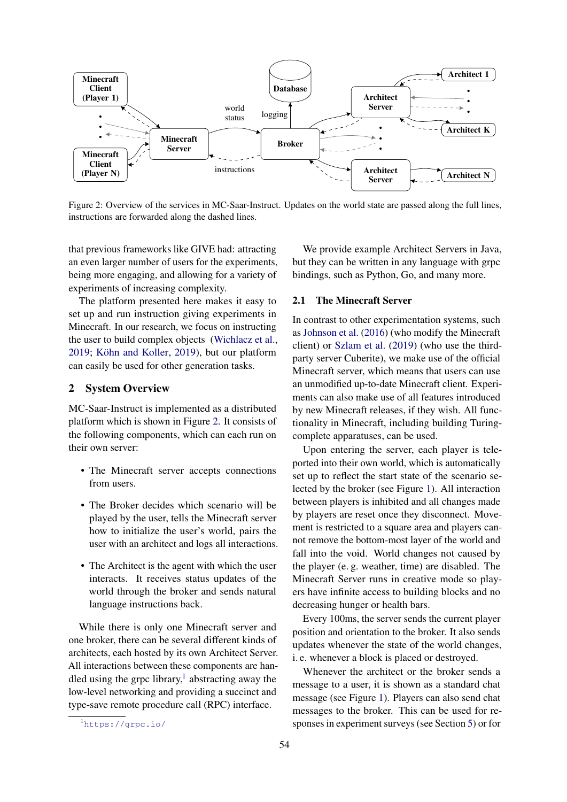<span id="page-1-0"></span>

Figure 2: Overview of the services in MC-Saar-Instruct. Updates on the world state are passed along the full lines, instructions are forwarded along the dashed lines.

that previous frameworks like GIVE had: attracting an even larger number of users for the experiments, being more engaging, and allowing for a variety of experiments of increasing complexity.

The platform presented here makes it easy to set up and run instruction giving experiments in Minecraft. In our research, we focus on instructing the user to build complex objects [\(Wichlacz et al.,](#page-3-6)  $2019$ ; Köhn and Koller,  $2019$ ), but our platform can easily be used for other generation tasks.

## 2 System Overview

MC-Saar-Instruct is implemented as a distributed platform which is shown in Figure [2.](#page-1-0) It consists of the following components, which can each run on their own server:

- The Minecraft server accepts connections from users.
- The Broker decides which scenario will be played by the user, tells the Minecraft server how to initialize the user's world, pairs the user with an architect and logs all interactions.
- The Architect is the agent with which the user interacts. It receives status updates of the world through the broker and sends natural language instructions back.

While there is only one Minecraft server and one broker, there can be several different kinds of architects, each hosted by its own Architect Server. All interactions between these components are han-dled using the grpc library,<sup>[1](#page-1-1)</sup> abstracting away the low-level networking and providing a succinct and type-save remote procedure call (RPC) interface.

We provide example Architect Servers in Java, but they can be written in any language with grpc bindings, such as Python, Go, and many more.

#### 2.1 The Minecraft Server

In contrast to other experimentation systems, such as [Johnson et al.](#page-3-2) [\(2016\)](#page-3-2) (who modify the Minecraft client) or [Szlam et al.](#page-3-4) [\(2019\)](#page-3-4) (who use the thirdparty server Cuberite), we make use of the official Minecraft server, which means that users can use an unmodified up-to-date Minecraft client. Experiments can also make use of all features introduced by new Minecraft releases, if they wish. All functionality in Minecraft, including building Turingcomplete apparatuses, can be used.

Upon entering the server, each player is teleported into their own world, which is automatically set up to reflect the start state of the scenario selected by the broker (see Figure [1\)](#page-0-0). All interaction between players is inhibited and all changes made by players are reset once they disconnect. Movement is restricted to a square area and players cannot remove the bottom-most layer of the world and fall into the void. World changes not caused by the player (e. g. weather, time) are disabled. The Minecraft Server runs in creative mode so players have infinite access to building blocks and no decreasing hunger or health bars.

Every 100ms, the server sends the current player position and orientation to the broker. It also sends updates whenever the state of the world changes, i. e. whenever a block is placed or destroyed.

Whenever the architect or the broker sends a message to a user, it is shown as a standard chat message (see Figure [1\)](#page-0-0). Players can also send chat messages to the broker. This can be used for responses in experiment surveys (see Section [5\)](#page-3-8) or for

<span id="page-1-1"></span><sup>1</sup><https://grpc.io/>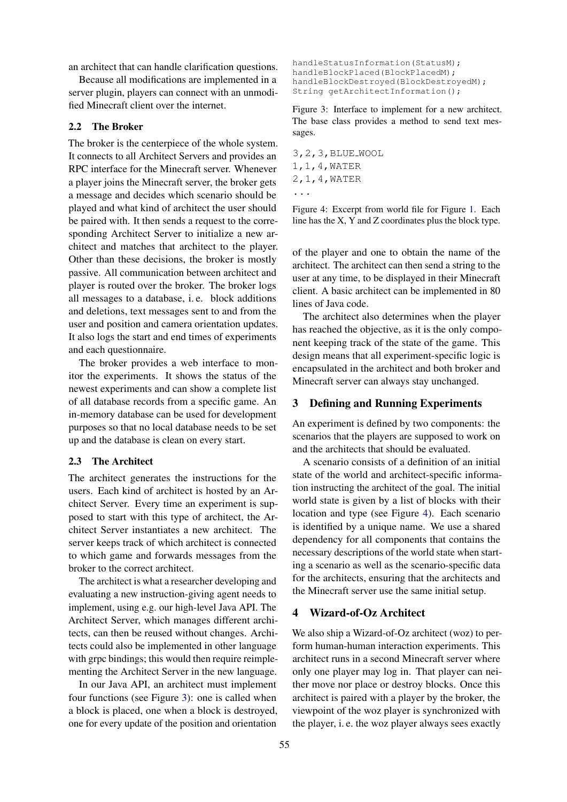an architect that can handle clarification questions.

Because all modifications are implemented in a server plugin, players can connect with an unmodified Minecraft client over the internet.

#### 2.2 The Broker

The broker is the centerpiece of the whole system. It connects to all Architect Servers and provides an RPC interface for the Minecraft server. Whenever a player joins the Minecraft server, the broker gets a message and decides which scenario should be played and what kind of architect the user should be paired with. It then sends a request to the corresponding Architect Server to initialize a new architect and matches that architect to the player. Other than these decisions, the broker is mostly passive. All communication between architect and player is routed over the broker. The broker logs all messages to a database, i. e. block additions and deletions, text messages sent to and from the user and position and camera orientation updates. It also logs the start and end times of experiments and each questionnaire.

The broker provides a web interface to monitor the experiments. It shows the status of the newest experiments and can show a complete list of all database records from a specific game. An in-memory database can be used for development purposes so that no local database needs to be set up and the database is clean on every start.

#### 2.3 The Architect

The architect generates the instructions for the users. Each kind of architect is hosted by an Architect Server. Every time an experiment is supposed to start with this type of architect, the Architect Server instantiates a new architect. The server keeps track of which architect is connected to which game and forwards messages from the broker to the correct architect.

The architect is what a researcher developing and evaluating a new instruction-giving agent needs to implement, using e.g. our high-level Java API. The Architect Server, which manages different architects, can then be reused without changes. Architects could also be implemented in other language with grpc bindings; this would then require reimplementing the Architect Server in the new language.

In our Java API, an architect must implement four functions (see Figure [3\)](#page-2-0): one is called when a block is placed, one when a block is destroyed, one for every update of the position and orientation

```
handleStatusInformation(StatusM);
handleBlockPlaced(BlockPlacedM);
handleBlockDestroyed(BlockDestroyedM);
String getArchitectInformation();
```
Figure 3: Interface to implement for a new architect. The base class provides a method to send text messages.

```
3,2,3,BLUE WOOL
1,1,4,WATER
2,1,4,WATER
...
```
Figure 4: Excerpt from world file for Figure [1.](#page-0-0) Each line has the X, Y and Z coordinates plus the block type.

of the player and one to obtain the name of the architect. The architect can then send a string to the user at any time, to be displayed in their Minecraft client. A basic architect can be implemented in 80 lines of Java code.

The architect also determines when the player has reached the objective, as it is the only component keeping track of the state of the game. This design means that all experiment-specific logic is encapsulated in the architect and both broker and Minecraft server can always stay unchanged.

# 3 Defining and Running Experiments

An experiment is defined by two components: the scenarios that the players are supposed to work on and the architects that should be evaluated.

A scenario consists of a definition of an initial state of the world and architect-specific information instructing the architect of the goal. The initial world state is given by a list of blocks with their location and type (see Figure [4\)](#page-2-1). Each scenario is identified by a unique name. We use a shared dependency for all components that contains the necessary descriptions of the world state when starting a scenario as well as the scenario-specific data for the architects, ensuring that the architects and the Minecraft server use the same initial setup.

# 4 Wizard-of-Oz Architect

We also ship a Wizard-of-Oz architect (woz) to perform human-human interaction experiments. This architect runs in a second Minecraft server where only one player may log in. That player can neither move nor place or destroy blocks. Once this architect is paired with a player by the broker, the viewpoint of the woz player is synchronized with the player, i. e. the woz player always sees exactly